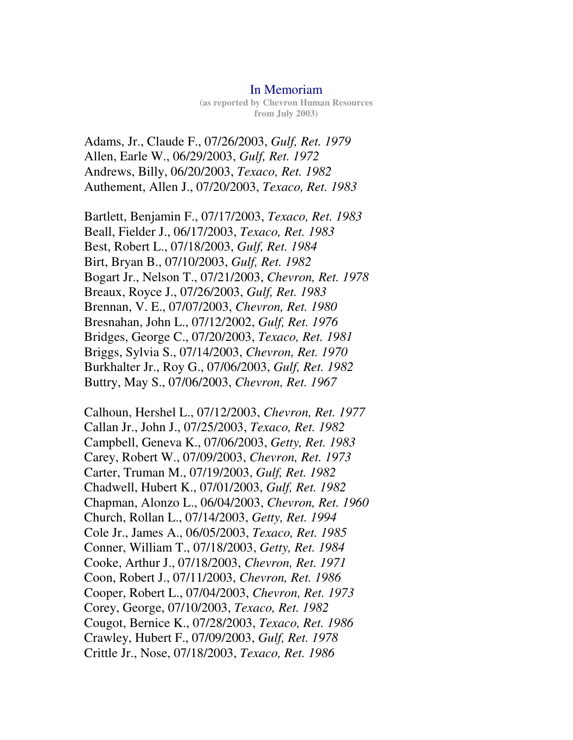## In Memoriam

**(as reported by Chevron Human Resources from July 2003)**

Adams, Jr., Claude F., 07/26/2003, *Gulf, Ret. 1979*  Allen, Earle W., 06/29/2003, *Gulf, Ret. 1972*  Andrews, Billy, 06/20/2003, *Texaco, Ret. 1982*  Authement, Allen J., 07/20/2003, *Texaco, Ret. 1983* 

Bartlett, Benjamin F., 07/17/2003, *Texaco, Ret. 1983*  Beall, Fielder J., 06/17/2003, *Texaco, Ret. 1983*  Best, Robert L., 07/18/2003, *Gulf, Ret. 1984*  Birt, Bryan B., 07/10/2003, *Gulf, Ret. 1982*  Bogart Jr., Nelson T., 07/21/2003, *Chevron, Ret. 1978*  Breaux, Royce J., 07/26/2003, *Gulf, Ret. 1983*  Brennan, V. E., 07/07/2003, *Chevron, Ret. 1980*  Bresnahan, John L., 07/12/2002, *Gulf, Ret. 1976*  Bridges, George C., 07/20/2003, *Texaco, Ret. 1981*  Briggs, Sylvia S., 07/14/2003, *Chevron, Ret. 1970*  Burkhalter Jr., Roy G., 07/06/2003, *Gulf, Ret. 1982*  Buttry, May S., 07/06/2003, *Chevron, Ret. 1967* 

Calhoun, Hershel L., 07/12/2003, *Chevron, Ret. 1977*  Callan Jr., John J., 07/25/2003, *Texaco, Ret. 1982*  Campbell, Geneva K., 07/06/2003, *Getty, Ret. 1983*  Carey, Robert W., 07/09/2003, *Chevron, Ret. 1973*  Carter, Truman M., 07/19/2003, *Gulf, Ret. 1982*  Chadwell, Hubert K., 07/01/2003, *Gulf, Ret. 1982*  Chapman, Alonzo L., 06/04/2003, *Chevron, Ret. 1960*  Church, Rollan L., 07/14/2003, *Getty, Ret. 1994*  Cole Jr., James A., 06/05/2003, *Texaco, Ret. 1985*  Conner, William T., 07/18/2003, *Getty, Ret. 1984*  Cooke, Arthur J., 07/18/2003, *Chevron, Ret. 1971*  Coon, Robert J., 07/11/2003, *Chevron, Ret. 1986*  Cooper, Robert L., 07/04/2003, *Chevron, Ret. 1973*  Corey, George, 07/10/2003, *Texaco, Ret. 1982*  Cougot, Bernice K., 07/28/2003, *Texaco, Ret. 1986*  Crawley, Hubert F., 07/09/2003, *Gulf, Ret. 1978*  Crittle Jr., Nose, 07/18/2003, *Texaco, Ret. 1986*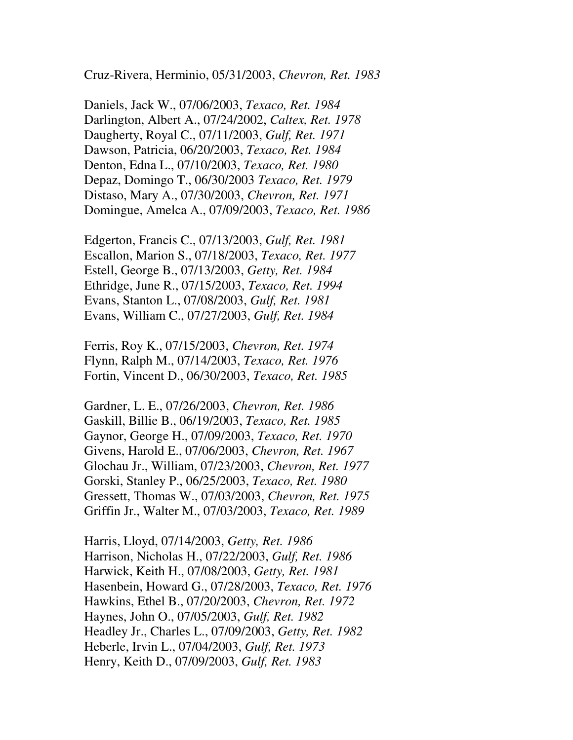Cruz-Rivera, Herminio, 05/31/2003, *Chevron, Ret. 1983* 

Daniels, Jack W., 07/06/2003, *Texaco, Ret. 1984*  Darlington, Albert A., 07/24/2002, *Caltex, Ret. 1978*  Daugherty, Royal C., 07/11/2003, *Gulf, Ret. 1971*  Dawson, Patricia, 06/20/2003, *Texaco, Ret. 1984*  Denton, Edna L., 07/10/2003, *Texaco, Ret. 1980*  Depaz, Domingo T., 06/30/2003 *Texaco, Ret. 1979*  Distaso, Mary A., 07/30/2003, *Chevron, Ret. 1971*  Domingue, Amelca A., 07/09/2003, *Texaco, Ret. 1986* 

Edgerton, Francis C., 07/13/2003, *Gulf, Ret. 1981*  Escallon, Marion S., 07/18/2003, *Texaco, Ret. 1977*  Estell, George B., 07/13/2003, *Getty, Ret. 1984*  Ethridge, June R., 07/15/2003, *Texaco, Ret. 1994*  Evans, Stanton L., 07/08/2003, *Gulf, Ret. 1981*  Evans, William C., 07/27/2003, *Gulf, Ret. 1984* 

Ferris, Roy K., 07/15/2003, *Chevron, Ret. 1974*  Flynn, Ralph M., 07/14/2003, *Texaco, Ret. 1976*  Fortin, Vincent D., 06/30/2003, *Texaco, Ret. 1985* 

Gardner, L. E., 07/26/2003, *Chevron, Ret. 1986*  Gaskill, Billie B., 06/19/2003, *Texaco, Ret. 1985*  Gaynor, George H., 07/09/2003, *Texaco, Ret. 1970*  Givens, Harold E., 07/06/2003, *Chevron, Ret. 1967*  Glochau Jr., William, 07/23/2003, *Chevron, Ret. 1977*  Gorski, Stanley P., 06/25/2003, *Texaco, Ret. 1980*  Gressett, Thomas W., 07/03/2003, *Chevron, Ret. 1975*  Griffin Jr., Walter M., 07/03/2003, *Texaco, Ret. 1989* 

Harris, Lloyd, 07/14/2003, *Getty, Ret. 1986*  Harrison, Nicholas H., 07/22/2003, *Gulf, Ret. 1986*  Harwick, Keith H., 07/08/2003, *Getty, Ret. 1981*  Hasenbein, Howard G., 07/28/2003, *Texaco, Ret. 1976*  Hawkins, Ethel B., 07/20/2003, *Chevron, Ret. 1972*  Haynes, John O., 07/05/2003, *Gulf, Ret. 1982*  Headley Jr., Charles L., 07/09/2003, *Getty, Ret. 1982*  Heberle, Irvin L., 07/04/2003, *Gulf, Ret. 1973*  Henry, Keith D., 07/09/2003, *Gulf, Ret. 1983*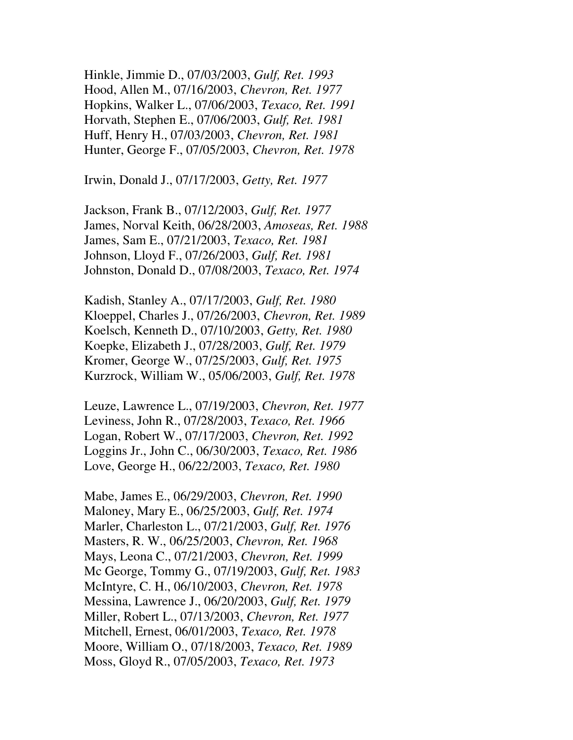Hinkle, Jimmie D., 07/03/2003, *Gulf, Ret. 1993*  Hood, Allen M., 07/16/2003, *Chevron, Ret. 1977*  Hopkins, Walker L., 07/06/2003, *Texaco, Ret. 1991*  Horvath, Stephen E., 07/06/2003, *Gulf, Ret. 1981*  Huff, Henry H., 07/03/2003, *Chevron, Ret. 1981*  Hunter, George F., 07/05/2003, *Chevron, Ret. 1978* 

Irwin, Donald J., 07/17/2003, *Getty, Ret. 1977* 

Jackson, Frank B., 07/12/2003, *Gulf, Ret. 1977*  James, Norval Keith, 06/28/2003, *Amoseas, Ret. 1988*  James, Sam E., 07/21/2003, *Texaco, Ret. 1981*  Johnson, Lloyd F., 07/26/2003, *Gulf, Ret. 1981*  Johnston, Donald D., 07/08/2003, *Texaco, Ret. 1974* 

Kadish, Stanley A., 07/17/2003, *Gulf, Ret. 1980*  Kloeppel, Charles J., 07/26/2003, *Chevron, Ret. 1989*  Koelsch, Kenneth D., 07/10/2003, *Getty, Ret. 1980*  Koepke, Elizabeth J., 07/28/2003, *Gulf, Ret. 1979*  Kromer, George W., 07/25/2003, *Gulf, Ret. 1975*  Kurzrock, William W., 05/06/2003, *Gulf, Ret. 1978* 

Leuze, Lawrence L., 07/19/2003, *Chevron, Ret. 1977*  Leviness, John R., 07/28/2003, *Texaco, Ret. 1966*  Logan, Robert W., 07/17/2003, *Chevron, Ret. 1992*  Loggins Jr., John C., 06/30/2003, *Texaco, Ret. 1986*  Love, George H., 06/22/2003, *Texaco, Ret. 1980* 

Mabe, James E., 06/29/2003, *Chevron, Ret. 1990*  Maloney, Mary E., 06/25/2003, *Gulf, Ret. 1974*  Marler, Charleston L., 07/21/2003, *Gulf, Ret. 1976*  Masters, R. W., 06/25/2003, *Chevron, Ret. 1968*  Mays, Leona C., 07/21/2003, *Chevron, Ret. 1999*  Mc George, Tommy G., 07/19/2003, *Gulf, Ret. 1983*  McIntyre, C. H., 06/10/2003, *Chevron, Ret. 1978*  Messina, Lawrence J., 06/20/2003, *Gulf, Ret. 1979*  Miller, Robert L., 07/13/2003, *Chevron, Ret. 1977*  Mitchell, Ernest, 06/01/2003, *Texaco, Ret. 1978*  Moore, William O., 07/18/2003, *Texaco, Ret. 1989*  Moss, Gloyd R., 07/05/2003, *Texaco, Ret. 1973*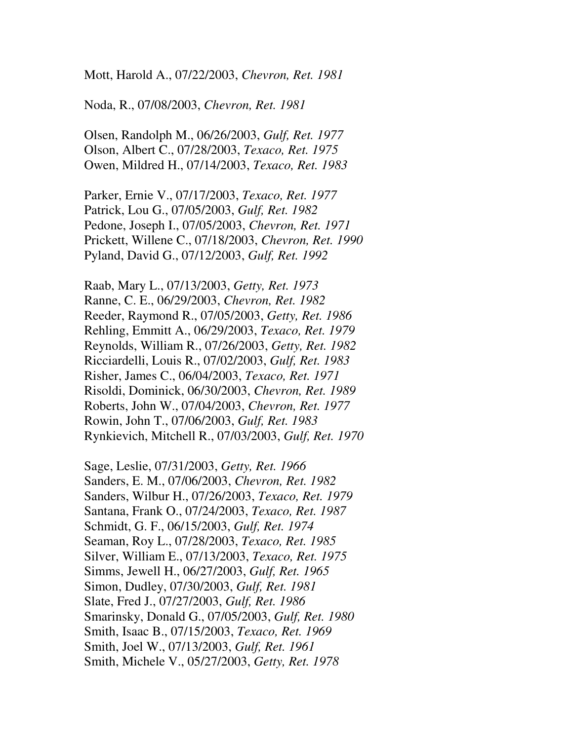Mott, Harold A., 07/22/2003, *Chevron, Ret. 1981* 

Noda, R., 07/08/2003, *Chevron, Ret. 1981* 

Olsen, Randolph M., 06/26/2003, *Gulf, Ret. 1977*  Olson, Albert C., 07/28/2003, *Texaco, Ret. 1975*  Owen, Mildred H., 07/14/2003, *Texaco, Ret. 1983* 

Parker, Ernie V., 07/17/2003, *Texaco, Ret. 1977*  Patrick, Lou G., 07/05/2003, *Gulf, Ret. 1982*  Pedone, Joseph I., 07/05/2003, *Chevron, Ret. 1971*  Prickett, Willene C., 07/18/2003, *Chevron, Ret. 1990*  Pyland, David G., 07/12/2003, *Gulf, Ret. 1992* 

Raab, Mary L., 07/13/2003, *Getty, Ret. 1973*  Ranne, C. E., 06/29/2003, *Chevron, Ret. 1982*  Reeder, Raymond R., 07/05/2003, *Getty, Ret. 1986*  Rehling, Emmitt A., 06/29/2003, *Texaco, Ret. 1979*  Reynolds, William R., 07/26/2003, *Getty, Ret. 1982*  Ricciardelli, Louis R., 07/02/2003, *Gulf, Ret. 1983*  Risher, James C., 06/04/2003, *Texaco, Ret. 1971*  Risoldi, Dominick, 06/30/2003, *Chevron, Ret. 1989*  Roberts, John W., 07/04/2003, *Chevron, Ret. 1977*  Rowin, John T., 07/06/2003, *Gulf, Ret. 1983*  Rynkievich, Mitchell R., 07/03/2003, *Gulf, Ret. 1970* 

Sage, Leslie, 07/31/2003, *Getty, Ret. 1966*  Sanders, E. M., 07/06/2003, *Chevron, Ret. 1982*  Sanders, Wilbur H., 07/26/2003, *Texaco, Ret. 1979*  Santana, Frank O., 07/24/2003, *Texaco, Ret. 1987*  Schmidt, G. F., 06/15/2003, *Gulf, Ret. 1974*  Seaman, Roy L., 07/28/2003, *Texaco, Ret. 1985*  Silver, William E., 07/13/2003, *Texaco, Ret. 1975*  Simms, Jewell H., 06/27/2003, *Gulf, Ret. 1965*  Simon, Dudley, 07/30/2003, *Gulf, Ret. 1981*  Slate, Fred J., 07/27/2003, *Gulf, Ret. 1986*  Smarinsky, Donald G., 07/05/2003, *Gulf, Ret. 1980*  Smith, Isaac B., 07/15/2003, *Texaco, Ret. 1969*  Smith, Joel W., 07/13/2003, *Gulf, Ret. 1961*  Smith, Michele V., 05/27/2003, *Getty, Ret. 1978*